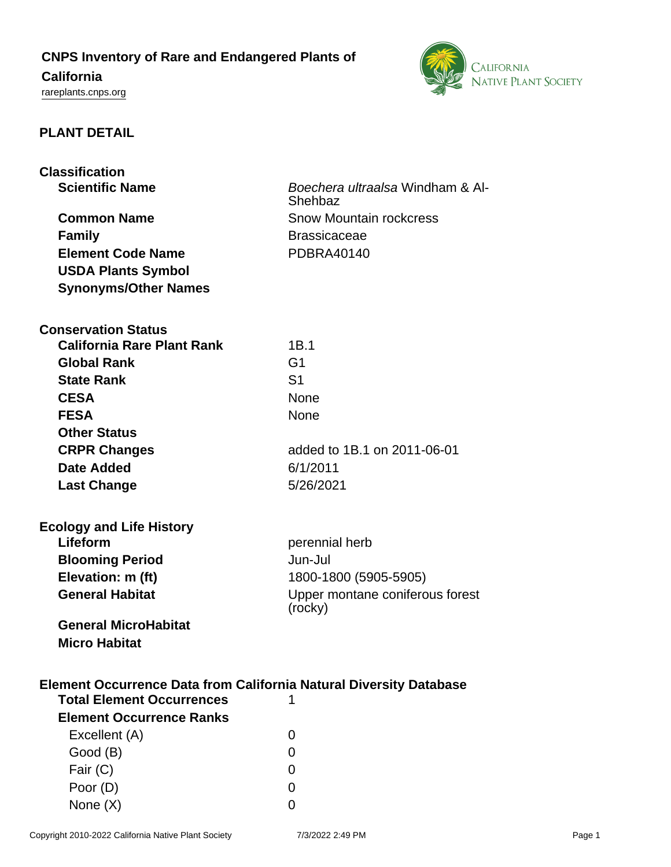## **CNPS Inventory of Rare and Endangered Plants of**

# **California**

<rareplants.cnps.org>



## **PLANT DETAIL**

| <b>Classification</b>                                                     |                                            |
|---------------------------------------------------------------------------|--------------------------------------------|
| <b>Scientific Name</b>                                                    | Boechera ultraalsa Windham & Al-           |
|                                                                           | Shehbaz                                    |
| <b>Common Name</b>                                                        | <b>Snow Mountain rockcress</b>             |
| <b>Family</b>                                                             | <b>Brassicaceae</b>                        |
| <b>Element Code Name</b>                                                  | <b>PDBRA40140</b>                          |
| <b>USDA Plants Symbol</b>                                                 |                                            |
| <b>Synonyms/Other Names</b>                                               |                                            |
|                                                                           |                                            |
| <b>Conservation Status</b>                                                |                                            |
| <b>California Rare Plant Rank</b>                                         | 1B.1                                       |
| <b>Global Rank</b>                                                        | G <sub>1</sub>                             |
| <b>State Rank</b>                                                         | S <sub>1</sub>                             |
| <b>CESA</b>                                                               | <b>None</b>                                |
| <b>FESA</b>                                                               | None                                       |
| <b>Other Status</b>                                                       |                                            |
| <b>CRPR Changes</b>                                                       | added to 1B.1 on 2011-06-01                |
| Date Added                                                                | 6/1/2011                                   |
| <b>Last Change</b>                                                        | 5/26/2021                                  |
|                                                                           |                                            |
|                                                                           |                                            |
| <b>Ecology and Life History</b><br>Lifeform                               |                                            |
|                                                                           | perennial herb                             |
| <b>Blooming Period</b>                                                    | Jun-Jul                                    |
| Elevation: m (ft)                                                         | 1800-1800 (5905-5905)                      |
| <b>General Habitat</b>                                                    | Upper montane coniferous forest<br>(rocky) |
|                                                                           |                                            |
| <b>General MicroHabitat</b><br><b>Micro Habitat</b>                       |                                            |
|                                                                           |                                            |
|                                                                           |                                            |
| <b>Element Occurrence Data from California Natural Diversity Database</b> |                                            |
| <b>Total Element Occurrences</b>                                          | 1                                          |
| <b>Element Occurrence Ranks</b>                                           |                                            |
| Excellent (A)                                                             | 0                                          |
| Good (B)                                                                  | 0                                          |
| Fair (C)                                                                  | 0                                          |
| Poor (D)                                                                  | 0                                          |
| None $(X)$                                                                | 0                                          |